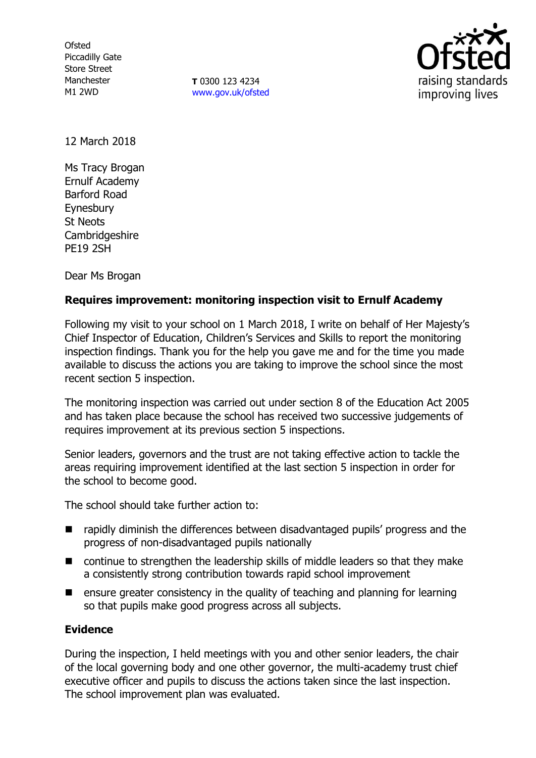**Ofsted** Piccadilly Gate Store Street Manchester M1 2WD

**T** 0300 123 4234 [www.gov.uk/ofsted](http://www.gov.uk/ofsted)



12 March 2018

Ms Tracy Brogan Ernulf Academy Barford Road **Eynesbury** St Neots **Cambridgeshire** PE19 2SH

Dear Ms Brogan

# **Requires improvement: monitoring inspection visit to Ernulf Academy**

Following my visit to your school on 1 March 2018, I write on behalf of Her Majesty's Chief Inspector of Education, Children's Services and Skills to report the monitoring inspection findings. Thank you for the help you gave me and for the time you made available to discuss the actions you are taking to improve the school since the most recent section 5 inspection.

The monitoring inspection was carried out under section 8 of the Education Act 2005 and has taken place because the school has received two successive judgements of requires improvement at its previous section 5 inspections.

Senior leaders, governors and the trust are not taking effective action to tackle the areas requiring improvement identified at the last section 5 inspection in order for the school to become good.

The school should take further action to:

- rapidly diminish the differences between disadvantaged pupils' progress and the progress of non-disadvantaged pupils nationally
- continue to strengthen the leadership skills of middle leaders so that they make a consistently strong contribution towards rapid school improvement
- **E** ensure greater consistency in the quality of teaching and planning for learning so that pupils make good progress across all subjects.

## **Evidence**

During the inspection, I held meetings with you and other senior leaders, the chair of the local governing body and one other governor, the multi-academy trust chief executive officer and pupils to discuss the actions taken since the last inspection. The school improvement plan was evaluated.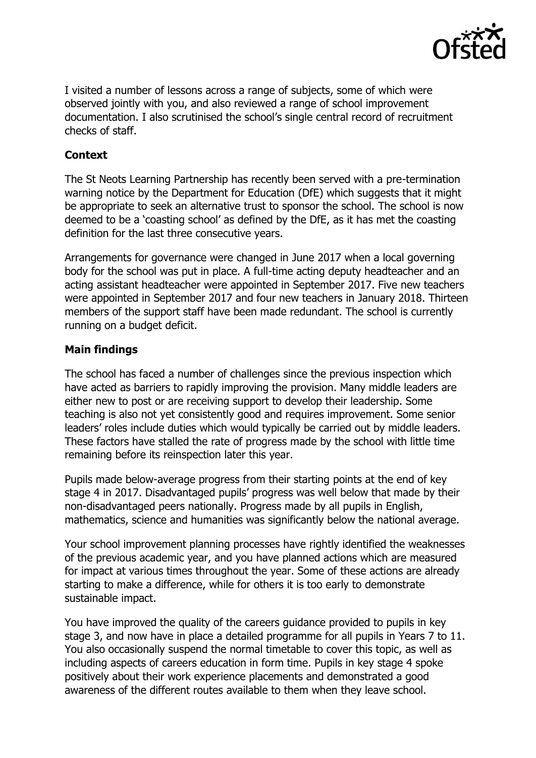

I visited a number of lessons across a range of subjects, some of which were observed jointly with you, and also reviewed a range of school improvement documentation. I also scrutinised the school's single central record of recruitment checks of staff.

# **Context**

The St Neots Learning Partnership has recently been served with a pre-termination warning notice by the Department for Education (DfE) which suggests that it might be appropriate to seek an alternative trust to sponsor the school. The school is now deemed to be a 'coasting school' as defined by the DfE, as it has met the coasting definition for the last three consecutive years.

Arrangements for governance were changed in June 2017 when a local governing body for the school was put in place. A full-time acting deputy headteacher and an acting assistant headteacher were appointed in September 2017. Five new teachers were appointed in September 2017 and four new teachers in January 2018. Thirteen members of the support staff have been made redundant. The school is currently running on a budget deficit.

# **Main findings**

The school has faced a number of challenges since the previous inspection which have acted as barriers to rapidly improving the provision. Many middle leaders are either new to post or are receiving support to develop their leadership. Some teaching is also not yet consistently good and requires improvement. Some senior leaders' roles include duties which would typically be carried out by middle leaders. These factors have stalled the rate of progress made by the school with little time remaining before its reinspection later this year.

Pupils made below-average progress from their starting points at the end of key stage 4 in 2017. Disadvantaged pupils' progress was well below that made by their non-disadvantaged peers nationally. Progress made by all pupils in English, mathematics, science and humanities was significantly below the national average.

Your school improvement planning processes have rightly identified the weaknesses of the previous academic year, and you have planned actions which are measured for impact at various times throughout the year. Some of these actions are already starting to make a difference, while for others it is too early to demonstrate sustainable impact.

You have improved the quality of the careers guidance provided to pupils in key stage 3, and now have in place a detailed programme for all pupils in Years 7 to 11. You also occasionally suspend the normal timetable to cover this topic, as well as including aspects of careers education in form time. Pupils in key stage 4 spoke positively about their work experience placements and demonstrated a good awareness of the different routes available to them when they leave school.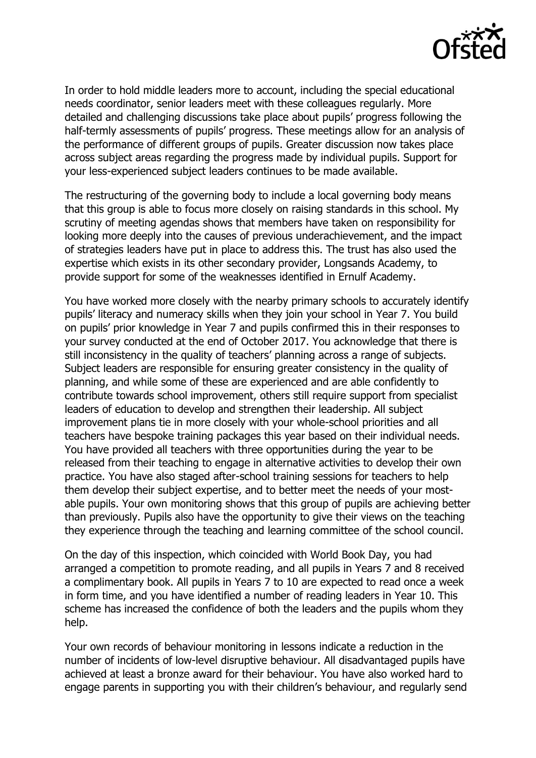

In order to hold middle leaders more to account, including the special educational needs coordinator, senior leaders meet with these colleagues regularly. More detailed and challenging discussions take place about pupils' progress following the half-termly assessments of pupils' progress. These meetings allow for an analysis of the performance of different groups of pupils. Greater discussion now takes place across subject areas regarding the progress made by individual pupils. Support for your less-experienced subject leaders continues to be made available.

The restructuring of the governing body to include a local governing body means that this group is able to focus more closely on raising standards in this school. My scrutiny of meeting agendas shows that members have taken on responsibility for looking more deeply into the causes of previous underachievement, and the impact of strategies leaders have put in place to address this. The trust has also used the expertise which exists in its other secondary provider, Longsands Academy, to provide support for some of the weaknesses identified in Ernulf Academy.

You have worked more closely with the nearby primary schools to accurately identify pupils' literacy and numeracy skills when they join your school in Year 7. You build on pupils' prior knowledge in Year 7 and pupils confirmed this in their responses to your survey conducted at the end of October 2017. You acknowledge that there is still inconsistency in the quality of teachers' planning across a range of subjects. Subject leaders are responsible for ensuring greater consistency in the quality of planning, and while some of these are experienced and are able confidently to contribute towards school improvement, others still require support from specialist leaders of education to develop and strengthen their leadership. All subject improvement plans tie in more closely with your whole-school priorities and all teachers have bespoke training packages this year based on their individual needs. You have provided all teachers with three opportunities during the year to be released from their teaching to engage in alternative activities to develop their own practice. You have also staged after-school training sessions for teachers to help them develop their subject expertise, and to better meet the needs of your mostable pupils. Your own monitoring shows that this group of pupils are achieving better than previously. Pupils also have the opportunity to give their views on the teaching they experience through the teaching and learning committee of the school council.

On the day of this inspection, which coincided with World Book Day, you had arranged a competition to promote reading, and all pupils in Years 7 and 8 received a complimentary book. All pupils in Years 7 to 10 are expected to read once a week in form time, and you have identified a number of reading leaders in Year 10. This scheme has increased the confidence of both the leaders and the pupils whom they help.

Your own records of behaviour monitoring in lessons indicate a reduction in the number of incidents of low-level disruptive behaviour. All disadvantaged pupils have achieved at least a bronze award for their behaviour. You have also worked hard to engage parents in supporting you with their children's behaviour, and regularly send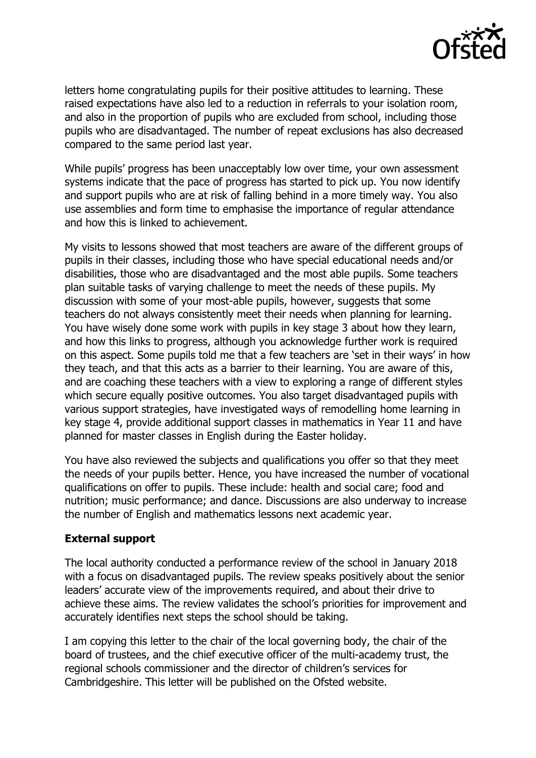

letters home congratulating pupils for their positive attitudes to learning. These raised expectations have also led to a reduction in referrals to your isolation room, and also in the proportion of pupils who are excluded from school, including those pupils who are disadvantaged. The number of repeat exclusions has also decreased compared to the same period last year.

While pupils' progress has been unacceptably low over time, your own assessment systems indicate that the pace of progress has started to pick up. You now identify and support pupils who are at risk of falling behind in a more timely way. You also use assemblies and form time to emphasise the importance of regular attendance and how this is linked to achievement.

My visits to lessons showed that most teachers are aware of the different groups of pupils in their classes, including those who have special educational needs and/or disabilities, those who are disadvantaged and the most able pupils. Some teachers plan suitable tasks of varying challenge to meet the needs of these pupils. My discussion with some of your most-able pupils, however, suggests that some teachers do not always consistently meet their needs when planning for learning. You have wisely done some work with pupils in key stage 3 about how they learn, and how this links to progress, although you acknowledge further work is required on this aspect. Some pupils told me that a few teachers are 'set in their ways' in how they teach, and that this acts as a barrier to their learning. You are aware of this, and are coaching these teachers with a view to exploring a range of different styles which secure equally positive outcomes. You also target disadvantaged pupils with various support strategies, have investigated ways of remodelling home learning in key stage 4, provide additional support classes in mathematics in Year 11 and have planned for master classes in English during the Easter holiday.

You have also reviewed the subjects and qualifications you offer so that they meet the needs of your pupils better. Hence, you have increased the number of vocational qualifications on offer to pupils. These include: health and social care; food and nutrition; music performance; and dance. Discussions are also underway to increase the number of English and mathematics lessons next academic year.

## **External support**

The local authority conducted a performance review of the school in January 2018 with a focus on disadvantaged pupils. The review speaks positively about the senior leaders' accurate view of the improvements required, and about their drive to achieve these aims. The review validates the school's priorities for improvement and accurately identifies next steps the school should be taking.

I am copying this letter to the chair of the local governing body, the chair of the board of trustees, and the chief executive officer of the multi-academy trust, the regional schools commissioner and the director of children's services for Cambridgeshire. This letter will be published on the Ofsted website.